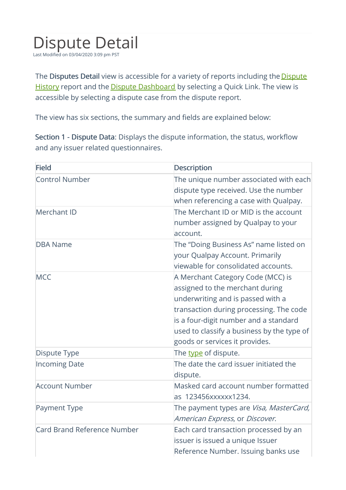## Dispute Detail

Last Modified on 03/04/2020 3:09 pm PST

The Disputes Detail view is accessible for a variety of reports including the **Dispute** History report and the **Dispute Dashboard** by selecting a Quick Link. The view is accessible by selecting a dispute case from the dispute report.

The view has six sections, the summary and fields are explained below:

Section 1 - Dispute Data: Displays the dispute information, the status, workflow and any issuer related questionnaires.

| <b>Field</b>                | <b>Description</b>                                                                                                                                                                                                                                                            |
|-----------------------------|-------------------------------------------------------------------------------------------------------------------------------------------------------------------------------------------------------------------------------------------------------------------------------|
| <b>Control Number</b>       | The unique number associated with each<br>dispute type received. Use the number<br>when referencing a case with Qualpay.                                                                                                                                                      |
| Merchant ID                 | The Merchant ID or MID is the account<br>number assigned by Qualpay to your<br>account.                                                                                                                                                                                       |
| <b>DBA Name</b>             | The "Doing Business As" name listed on<br>your Qualpay Account. Primarily<br>viewable for consolidated accounts.                                                                                                                                                              |
| <b>MCC</b>                  | A Merchant Category Code (MCC) is<br>assigned to the merchant during<br>underwriting and is passed with a<br>transaction during processing. The code<br>is a four-digit number and a standard<br>used to classify a business by the type of<br>goods or services it provides. |
| <b>Dispute Type</b>         | The type of dispute.                                                                                                                                                                                                                                                          |
| <b>Incoming Date</b>        | The date the card issuer initiated the<br>dispute.                                                                                                                                                                                                                            |
| <b>Account Number</b>       | Masked card account number formatted<br>as 123456xxxxxx1234.                                                                                                                                                                                                                  |
| <b>Payment Type</b>         | The payment types are Visa, MasterCard,<br>American Express, or Discover.                                                                                                                                                                                                     |
| Card Brand Reference Number | Each card transaction processed by an<br>issuer is issued a unique Issuer<br>Reference Number. Issuing banks use                                                                                                                                                              |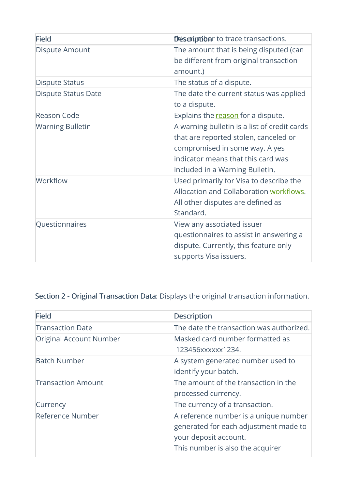| <b>Field</b>               | Descriptiber to trace transactions.                                                                                                                                                              |
|----------------------------|--------------------------------------------------------------------------------------------------------------------------------------------------------------------------------------------------|
| Dispute Amount             | The amount that is being disputed (can<br>be different from original transaction<br>amount.)                                                                                                     |
| <b>Dispute Status</b>      | The status of a dispute.                                                                                                                                                                         |
| <b>Dispute Status Date</b> | The date the current status was applied<br>to a dispute.                                                                                                                                         |
| <b>Reason Code</b>         | Explains the reason for a dispute.                                                                                                                                                               |
| <b>Warning Bulletin</b>    | A warning bulletin is a list of credit cards<br>that are reported stolen, canceled or<br>compromised in some way. A yes<br>indicator means that this card was<br>included in a Warning Bulletin. |
| Workflow                   | Used primarily for Visa to describe the<br>Allocation and Collaboration workflows.<br>All other disputes are defined as<br>Standard.                                                             |
| Questionnaires             | View any associated issuer<br>questionnaires to assist in answering a<br>dispute. Currently, this feature only<br>supports Visa issuers.                                                         |

## Section 2 - Original Transaction Data: Displays the original transaction information.

| <b>Field</b>              | <b>Description</b>                                                                                                                          |
|---------------------------|---------------------------------------------------------------------------------------------------------------------------------------------|
| <b>Transaction Date</b>   | The date the transaction was authorized.                                                                                                    |
| Original Account Number   | Masked card number formatted as<br>123456xxxxxx1234.                                                                                        |
| <b>Batch Number</b>       | A system generated number used to<br>identify your batch.                                                                                   |
| <b>Transaction Amount</b> | The amount of the transaction in the<br>processed currency.                                                                                 |
| Currency                  | The currency of a transaction.                                                                                                              |
| Reference Number          | A reference number is a unique number<br>generated for each adjustment made to<br>your deposit account.<br>This number is also the acquirer |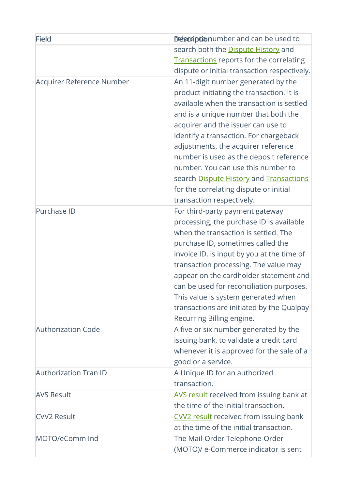| <b>Field</b>                 | Descriptionumber and can be used to             |
|------------------------------|-------------------------------------------------|
|                              | search both the <b>Dispute History</b> and      |
|                              | <b>Transactions</b> reports for the correlating |
|                              | dispute or initial transaction respectively.    |
| Acquirer Reference Number    | An 11-digit number generated by the             |
|                              | product initiating the transaction. It is       |
|                              | available when the transaction is settled       |
|                              | and is a unique number that both the            |
|                              | acquirer and the issuer can use to              |
|                              | identify a transaction. For chargeback          |
|                              | adjustments, the acquirer reference             |
|                              | number is used as the deposit reference         |
|                              | number. You can use this number to              |
|                              | search Dispute History and Transactions         |
|                              | for the correlating dispute or initial          |
|                              | transaction respectively.                       |
| Purchase ID                  | For third-party payment gateway                 |
|                              | processing, the purchase ID is available        |
|                              | when the transaction is settled. The            |
|                              | purchase ID, sometimes called the               |
|                              | invoice ID, is input by you at the time of      |
|                              | transaction processing. The value may           |
|                              | appear on the cardholder statement and          |
|                              | can be used for reconciliation purposes.        |
|                              | This value is system generated when             |
|                              | transactions are initiated by the Qualpay       |
|                              | Recurring Billing engine.                       |
| <b>Authorization Code</b>    | A five or six number generated by the           |
|                              | issuing bank, to validate a credit card         |
|                              | whenever it is approved for the sale of a       |
|                              | good or a service.                              |
| <b>Authorization Tran ID</b> | A Unique ID for an authorized                   |
|                              | transaction.                                    |
| <b>AVS Result</b>            | <b>AVS result</b> received from issuing bank at |
|                              | the time of the initial transaction.            |
| <b>CVV2 Result</b>           | <b>CVV2</b> result received from issuing bank   |
|                              | at the time of the initial transaction.         |
| MOTO/eComm Ind               | The Mail-Order Telephone-Order                  |
|                              | (MOTO)/ e-Commerce indicator is sent            |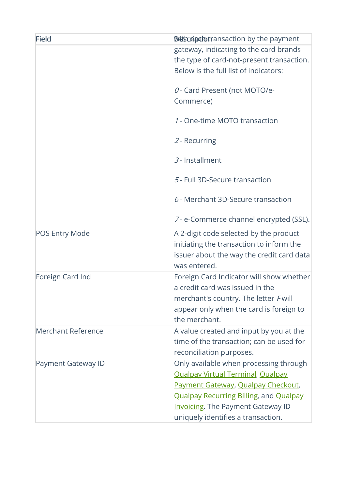| Field                 | <b>Diescriptiotransaction by the payment</b>                                                                                                                                                                                                                |
|-----------------------|-------------------------------------------------------------------------------------------------------------------------------------------------------------------------------------------------------------------------------------------------------------|
|                       | gateway, indicating to the card brands<br>the type of card-not-present transaction.<br>Below is the full list of indicators:                                                                                                                                |
|                       | O - Card Present (not MOTO/e-<br>Commerce)                                                                                                                                                                                                                  |
|                       | 1 - One-time MOTO transaction                                                                                                                                                                                                                               |
|                       | $2$ - Recurring                                                                                                                                                                                                                                             |
|                       | 3 - Installment                                                                                                                                                                                                                                             |
|                       | 5 - Full 3D-Secure transaction                                                                                                                                                                                                                              |
|                       | $6$ - Merchant 3D-Secure transaction                                                                                                                                                                                                                        |
|                       | 7- e-Commerce channel encrypted (SSL).                                                                                                                                                                                                                      |
| <b>POS Entry Mode</b> | A 2-digit code selected by the product<br>initiating the transaction to inform the<br>issuer about the way the credit card data<br>was entered.                                                                                                             |
| Foreign Card Ind      | Foreign Card Indicator will show whether<br>a credit card was issued in the<br>merchant's country. The letter Fwill<br>appear only when the card is foreign to<br>the merchant.                                                                             |
| Merchant Reference    | A value created and input by you at the<br>time of the transaction; can be used for<br>reconciliation purposes.                                                                                                                                             |
| Payment Gateway ID    | Only available when processing through<br><b>Qualpay Virtual Terminal, Qualpay</b><br>Payment Gateway, Qualpay Checkout,<br><b>Qualpay Recurring Billing, and Qualpay</b><br><b>Invoicing.</b> The Payment Gateway ID<br>uniquely identifies a transaction. |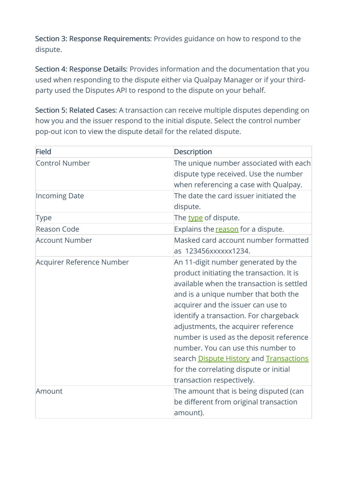Section 3: Response Requirements: Provides guidance on how to respond to the dispute.

Section 4: Response Details: Provides information and the documentation that you used when responding to the dispute either via Qualpay Manager or if your thirdparty used the Disputes API to respond to the dispute on your behalf.

Section 5: Related Cases: A transaction can receive multiple disputes depending on how you and the issuer respond to the initial dispute. Select the control number pop-out icon to view the dispute detail for the related dispute.

| <b>Field</b>              | <b>Description</b>                                                                                                                                                                                                                                                                                                                                                                                                                                                                              |
|---------------------------|-------------------------------------------------------------------------------------------------------------------------------------------------------------------------------------------------------------------------------------------------------------------------------------------------------------------------------------------------------------------------------------------------------------------------------------------------------------------------------------------------|
| <b>Control Number</b>     | The unique number associated with each<br>dispute type received. Use the number<br>when referencing a case with Qualpay.                                                                                                                                                                                                                                                                                                                                                                        |
| <b>Incoming Date</b>      | The date the card issuer initiated the<br>dispute.                                                                                                                                                                                                                                                                                                                                                                                                                                              |
| <b>Type</b>               | The type of dispute.                                                                                                                                                                                                                                                                                                                                                                                                                                                                            |
| <b>Reason Code</b>        | Explains the reason for a dispute.                                                                                                                                                                                                                                                                                                                                                                                                                                                              |
| <b>Account Number</b>     | Masked card account number formatted<br>as 123456xxxxxx1234.                                                                                                                                                                                                                                                                                                                                                                                                                                    |
| Acquirer Reference Number | An 11-digit number generated by the<br>product initiating the transaction. It is<br>available when the transaction is settled<br>and is a unique number that both the<br>acquirer and the issuer can use to<br>identify a transaction. For chargeback<br>adjustments, the acquirer reference<br>number is used as the deposit reference<br>number. You can use this number to<br>search Dispute History and Transactions<br>for the correlating dispute or initial<br>transaction respectively. |
| Amount                    | The amount that is being disputed (can<br>be different from original transaction<br>amount).                                                                                                                                                                                                                                                                                                                                                                                                    |